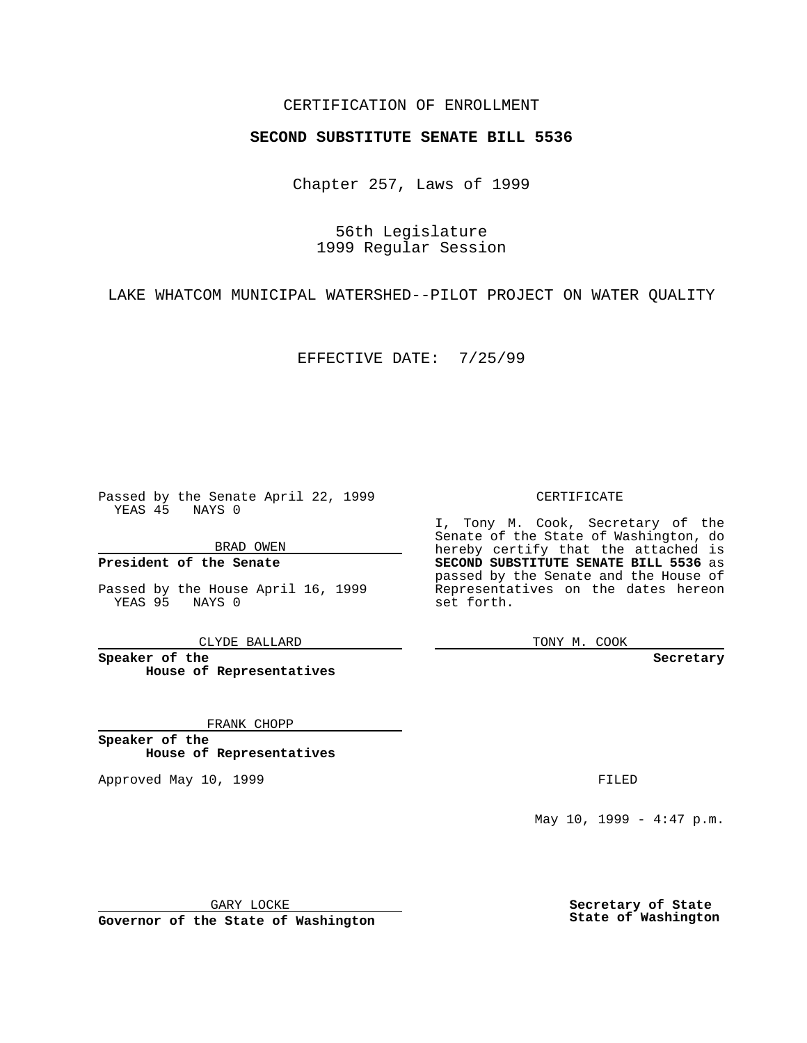## CERTIFICATION OF ENROLLMENT

## **SECOND SUBSTITUTE SENATE BILL 5536**

Chapter 257, Laws of 1999

56th Legislature 1999 Regular Session

LAKE WHATCOM MUNICIPAL WATERSHED--PILOT PROJECT ON WATER QUALITY

EFFECTIVE DATE: 7/25/99

Passed by the Senate April 22, 1999 YEAS 45 NAYS 0

BRAD OWEN

**President of the Senate**

Passed by the House April 16, 1999 YEAS 95 NAYS 0

CLYDE BALLARD

**Speaker of the House of Representatives**

FRANK CHOPP

**Speaker of the House of Representatives**

Approved May 10, 1999 **FILED** 

CERTIFICATE

I, Tony M. Cook, Secretary of the Senate of the State of Washington, do hereby certify that the attached is **SECOND SUBSTITUTE SENATE BILL 5536** as passed by the Senate and the House of Representatives on the dates hereon set forth.

TONY M. COOK

**Secretary**

May 10, 1999 -  $4:47$  p.m.

GARY LOCKE

**Governor of the State of Washington**

**Secretary of State State of Washington**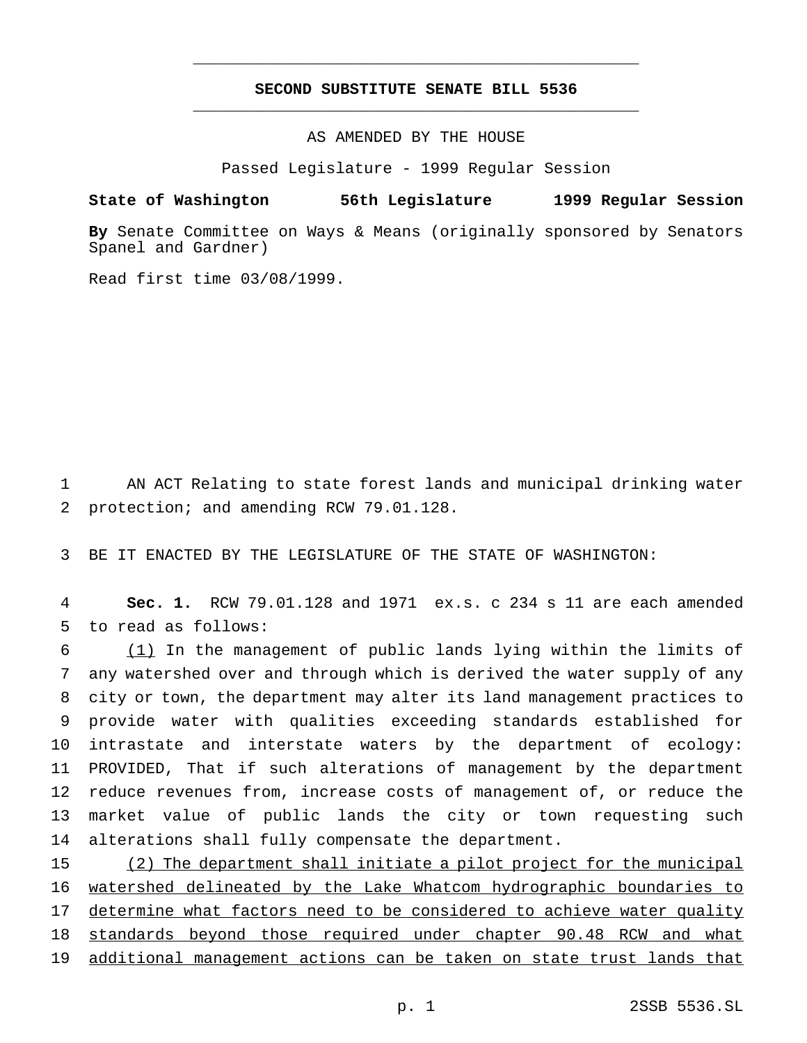## **SECOND SUBSTITUTE SENATE BILL 5536** \_\_\_\_\_\_\_\_\_\_\_\_\_\_\_\_\_\_\_\_\_\_\_\_\_\_\_\_\_\_\_\_\_\_\_\_\_\_\_\_\_\_\_\_\_\_\_

\_\_\_\_\_\_\_\_\_\_\_\_\_\_\_\_\_\_\_\_\_\_\_\_\_\_\_\_\_\_\_\_\_\_\_\_\_\_\_\_\_\_\_\_\_\_\_

AS AMENDED BY THE HOUSE

Passed Legislature - 1999 Regular Session

**State of Washington 56th Legislature 1999 Regular Session**

**By** Senate Committee on Ways & Means (originally sponsored by Senators Spanel and Gardner)

Read first time 03/08/1999.

1 AN ACT Relating to state forest lands and municipal drinking water 2 protection; and amending RCW 79.01.128.

3 BE IT ENACTED BY THE LEGISLATURE OF THE STATE OF WASHINGTON:

4 **Sec. 1.** RCW 79.01.128 and 1971 ex.s. c 234 s 11 are each amended 5 to read as follows:

 (1) In the management of public lands lying within the limits of any watershed over and through which is derived the water supply of any city or town, the department may alter its land management practices to provide water with qualities exceeding standards established for intrastate and interstate waters by the department of ecology: PROVIDED, That if such alterations of management by the department reduce revenues from, increase costs of management of, or reduce the market value of public lands the city or town requesting such alterations shall fully compensate the department.

15 (2) The department shall initiate a pilot project for the municipal 16 watershed delineated by the Lake Whatcom hydrographic boundaries to 17 determine what factors need to be considered to achieve water quality 18 standards beyond those required under chapter 90.48 RCW and what 19 additional management actions can be taken on state trust lands that